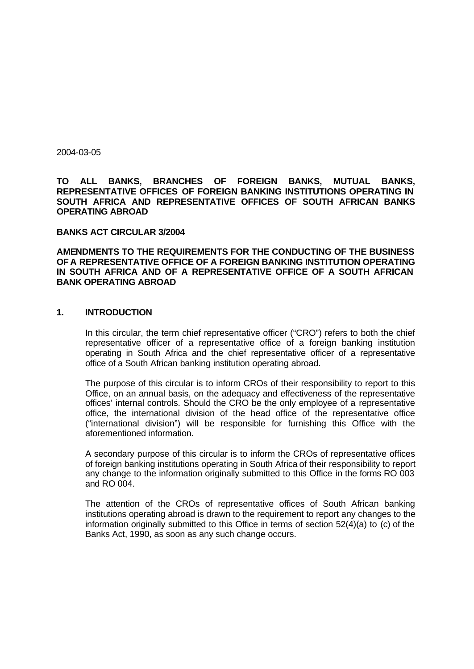2004-03-05

**TO ALL BANKS, BRANCHES OF FOREIGN BANKS, MUTUAL BANKS, REPRESENTATIVE OFFICES OF FOREIGN BANKING INSTITUTIONS OPERATING IN SOUTH AFRICA AND REPRESENTATIVE OFFICES OF SOUTH AFRICAN BANKS OPERATING ABROAD**

#### **BANKS ACT CIRCULAR 3/2004**

**AMENDMENTS TO THE REQUIREMENTS FOR THE CONDUCTING OF THE BUSINESS OF A REPRESENTATIVE OFFICE OF A FOREIGN BANKING INSTITUTION OPERATING IN SOUTH AFRICA AND OF A REPRESENTATIVE OFFICE OF A SOUTH AFRICAN BANK OPERATING ABROAD**

#### **1. INTRODUCTION**

In this circular, the term chief representative officer ("CRO") refers to both the chief representative officer of a representative office of a foreign banking institution operating in South Africa and the chief representative officer of a representative office of a South African banking institution operating abroad.

The purpose of this circular is to inform CROs of their responsibility to report to this Office, on an annual basis, on the adequacy and effectiveness of the representative offices' internal controls. Should the CRO be the only employee of a representative office, the international division of the head office of the representative office ("international division") will be responsible for furnishing this Office with the aforementioned information.

A secondary purpose of this circular is to inform the CROs of representative offices of foreign banking institutions operating in South Africa of their responsibility to report any change to the information originally submitted to this Office in the forms RO 003 and RO 004.

The attention of the CROs of representative offices of South African banking institutions operating abroad is drawn to the requirement to report any changes to the information originally submitted to this Office in terms of section 52(4)(a) to (c) of the Banks Act, 1990, as soon as any such change occurs.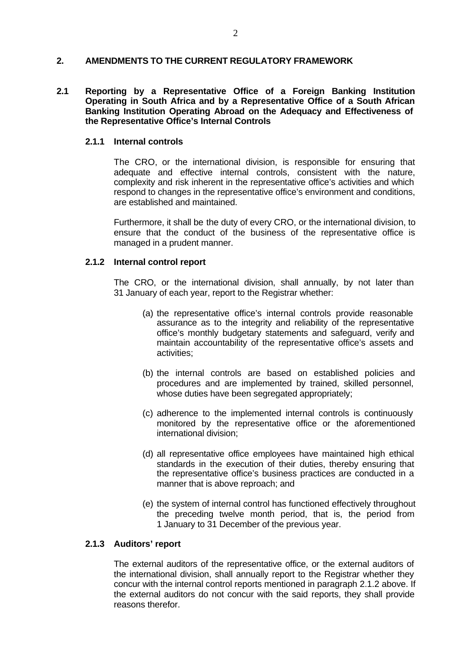## **2. AMENDMENTS TO THE CURRENT REGULATORY FRAMEWORK**

### **2.1 Reporting by a Representative Office of a Foreign Banking Institution Operating in South Africa and by a Representative Office of a South African Banking Institution Operating Abroad on the Adequacy and Effectiveness of the Representative Office's Internal Controls**

#### **2.1.1 Internal controls**

The CRO, or the international division, is responsible for ensuring that adequate and effective internal controls, consistent with the nature, complexity and risk inherent in the representative office's activities and which respond to changes in the representative office's environment and conditions, are established and maintained.

Furthermore, it shall be the duty of every CRO, or the international division, to ensure that the conduct of the business of the representative office is managed in a prudent manner.

#### **2.1.2 Internal control report**

The CRO, or the international division, shall annually, by not later than 31 January of each year, report to the Registrar whether:

- (a) the representative office's internal controls provide reasonable assurance as to the integrity and reliability of the representative office's monthly budgetary statements and safeguard, verify and maintain accountability of the representative office's assets and activities;
- (b) the internal controls are based on established policies and procedures and are implemented by trained, skilled personnel, whose duties have been segregated appropriately;
- (c) adherence to the implemented internal controls is continuously monitored by the representative office or the aforementioned international division;
- (d) all representative office employees have maintained high ethical standards in the execution of their duties, thereby ensuring that the representative office's business practices are conducted in a manner that is above reproach; and
- (e) the system of internal control has functioned effectively throughout the preceding twelve month period, that is, the period from 1 January to 31 December of the previous year.

# **2.1.3 Auditors' report**

The external auditors of the representative office, or the external auditors of the international division, shall annually report to the Registrar whether they concur with the internal control reports mentioned in paragraph 2.1.2 above. If the external auditors do not concur with the said reports, they shall provide reasons therefor.